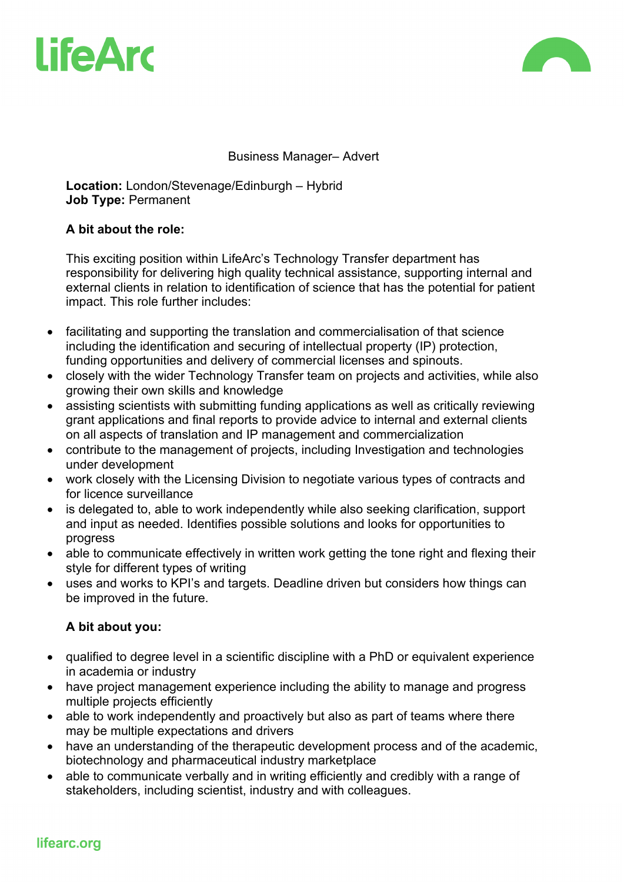



Business Manager– Advert

**Location:** London/Stevenage/Edinburgh – Hybrid **Job Type:** Permanent

### **A bit about the role:**

This exciting position within LifeArc's Technology Transfer department has responsibility for delivering high quality technical assistance, supporting internal and external clients in relation to identification of science that has the potential for patient impact. This role further includes:

- facilitating and supporting the translation and commercialisation of that science including the identification and securing of intellectual property (IP) protection, funding opportunities and delivery of commercial licenses and spinouts.
- closely with the wider Technology Transfer team on projects and activities, while also growing their own skills and knowledge
- assisting scientists with submitting funding applications as well as critically reviewing grant applications and final reports to provide advice to internal and external clients on all aspects of translation and IP management and commercialization
- contribute to the management of projects, including Investigation and technologies under development
- work closely with the Licensing Division to negotiate various types of contracts and for licence surveillance
- is delegated to, able to work independently while also seeking clarification, support and input as needed. Identifies possible solutions and looks for opportunities to progress
- able to communicate effectively in written work getting the tone right and flexing their style for different types of writing
- uses and works to KPI's and targets. Deadline driven but considers how things can be improved in the future.

## **A bit about you:**

- qualified to degree level in a scientific discipline with a PhD or equivalent experience in academia or industry
- have project management experience including the ability to manage and progress multiple projects efficiently
- able to work independently and proactively but also as part of teams where there may be multiple expectations and drivers
- have an understanding of the therapeutic development process and of the academic, biotechnology and pharmaceutical industry marketplace
- able to communicate verbally and in writing efficiently and credibly with a range of stakeholders, including scientist, industry and with colleagues.

## lifearc.org